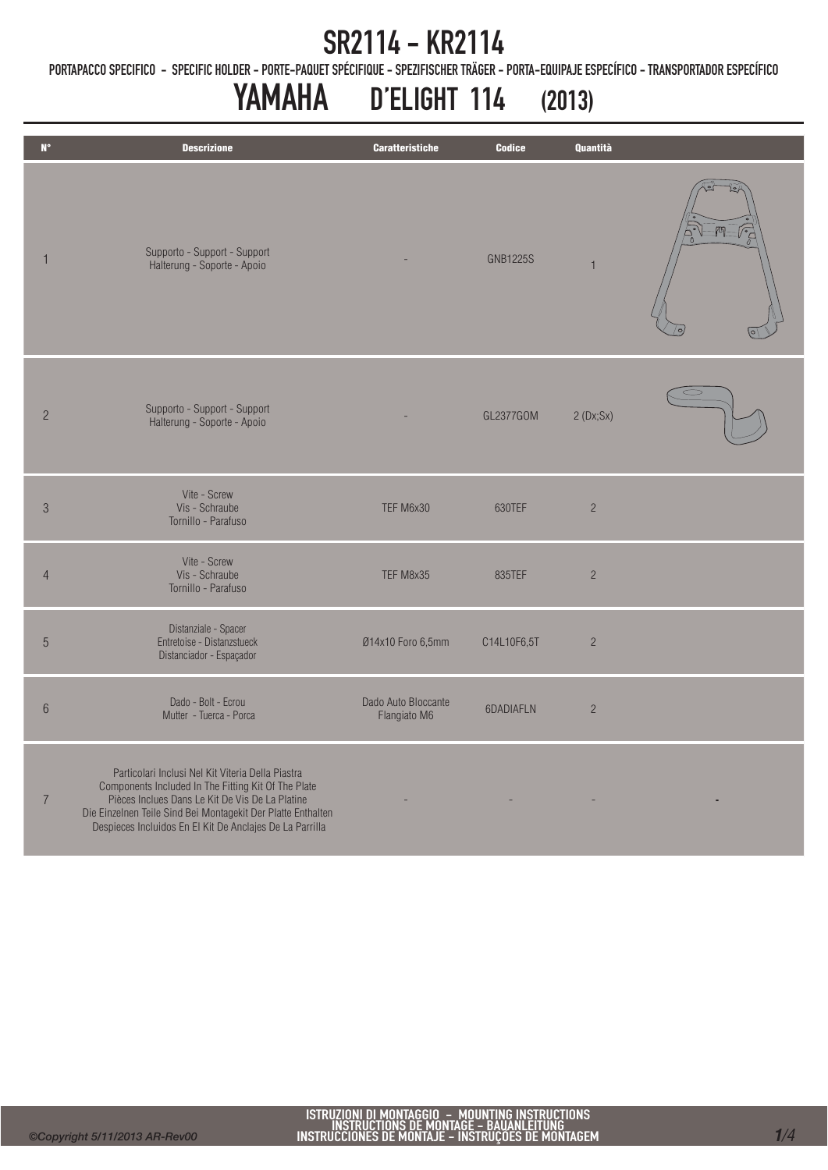# SR2114 - KR2114

PORTAPACCO SPECIFICO - SPECIFIC HOLDER - PORTE-PAQUET SPÉCIFIQUE - SPEZIFISCHER TRÄGER - PORTA-EQUIPAJE ESPECÍFICO - TRANSPORTADOR ESPECÍFICO

# YAMAHA D'ELIGHT 114 (2013)

| $\mathbf{N}^{\circ}$ | <b>Descrizione</b>                                                                                                                                                                                                                                                                      | <b>Caratteristiche</b>              | <b>Codice</b>   | Quantità       |            |
|----------------------|-----------------------------------------------------------------------------------------------------------------------------------------------------------------------------------------------------------------------------------------------------------------------------------------|-------------------------------------|-----------------|----------------|------------|
| $\mathbf{1}$         | Supporto - Support - Support<br>Halterung - Soporte - Apoio                                                                                                                                                                                                                             |                                     | <b>GNB1225S</b> | $\mathbf{1}$   | $\sqrt{5}$ |
| $\overline{2}$       | Supporto - Support - Support<br>Halterung - Soporte - Apoio                                                                                                                                                                                                                             |                                     | GL2377GOM       | 2(Dx;Sx)       | $\subset$  |
| $\mathfrak{Z}$       | Vite - Screw<br>Vis - Schraube<br>Tornillo - Parafuso                                                                                                                                                                                                                                   | TEF M6x30                           | 630TEF          | $\overline{c}$ |            |
| $\overline{4}$       | Vite - Screw<br>Vis - Schraube<br>Tornillo - Parafuso                                                                                                                                                                                                                                   | TEF M8x35                           | 835TEF          | $\overline{c}$ |            |
| 5                    | Distanziale - Spacer<br>Entretoise - Distanzstueck<br>Distanciador - Espaçador                                                                                                                                                                                                          | Ø14x10 Foro 6,5mm                   | C14L10F6,5T     | $\overline{c}$ |            |
| 6                    | Dado - Bolt - Ecrou<br>Mutter - Tuerca - Porca                                                                                                                                                                                                                                          | Dado Auto Bloccante<br>Flangiato M6 | 6DADIAFLN       | $\overline{2}$ |            |
| $\overline{I}$       | Particolari Inclusi Nel Kit Viteria Della Piastra<br>Components Included In The Fitting Kit Of The Plate<br>Pièces Inclues Dans Le Kit De Vis De La Platine<br>Die Einzelnen Teile Sind Bei Montagekit Der Platte Enthalten<br>Despieces Incluidos En El Kit De Anclajes De La Parrilla |                                     |                 |                |            |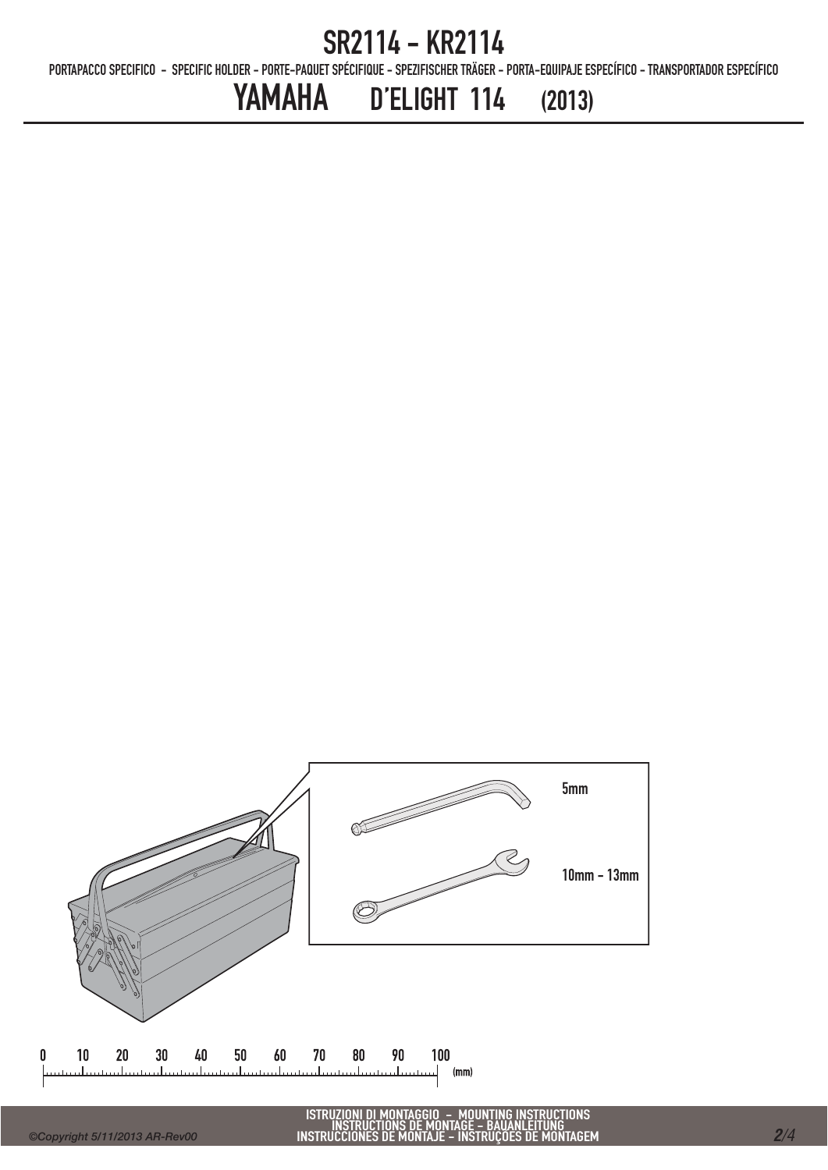### SR2114 - KR2114

PORTAPACCO SPECIFICO - SPECIFIC HOLDER - PORTE-PAQUET SPÉCIFIQUE - SPEZIFISCHER TRÄGER - PORTA-EQUIPAJE ESPECÍFICO - TRANSPORTADOR ESPECÍFICO

### YAMAHA D'ELIGHT 114 (2013)



 $\mathbf{0}$ 

ISTRUZIONI DI MONTAGGIO – MOUNTING INSTRUCTIONS<br>INSTRUCTIONS DE MONTAGE – BAUANLEITUNG<br>INSTRUCCIONES DE MONTAJE – INSTRUÇÕES DE MONTAGEM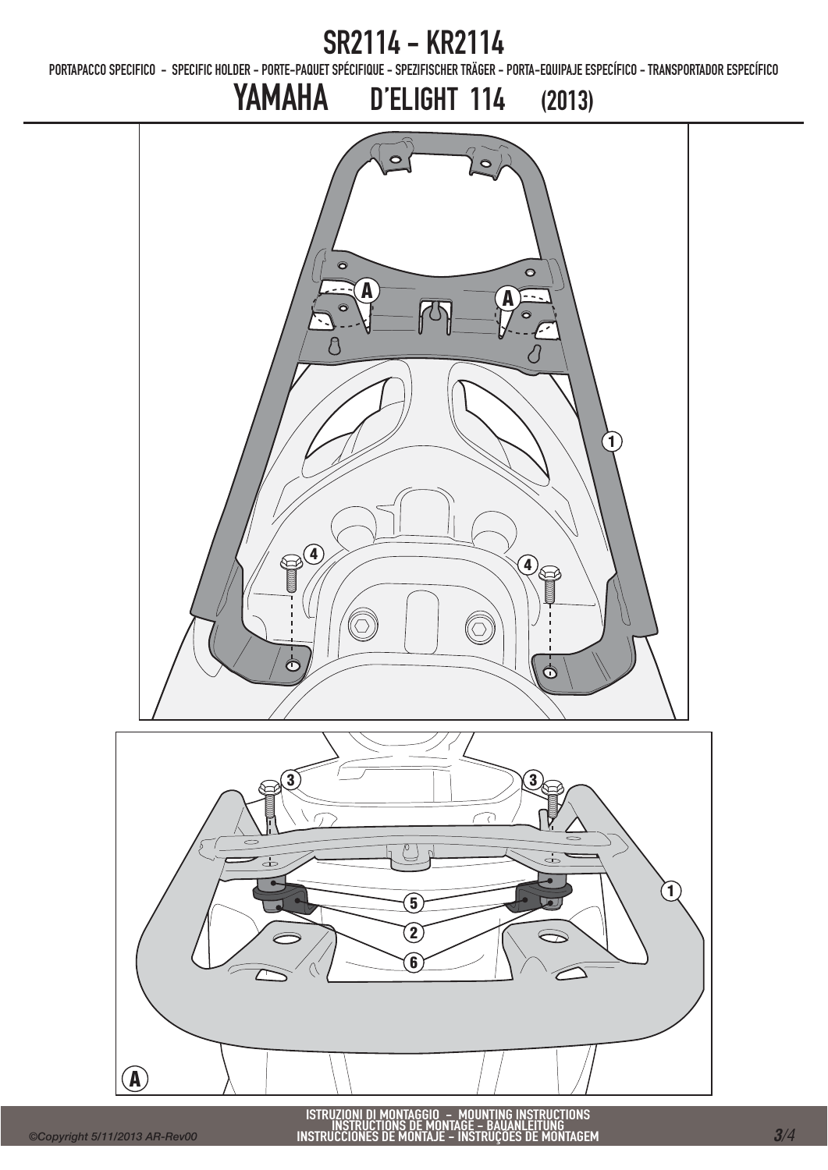